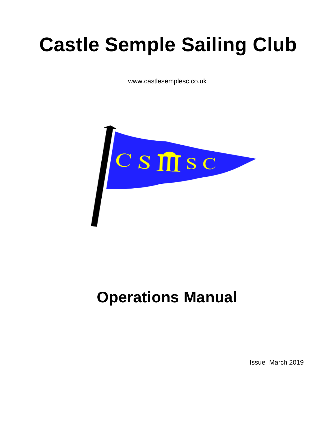# **Castle Semple Sailing Club**

www.castlesemplesc.co.uk



# **Operations Manual**

Issue March 2019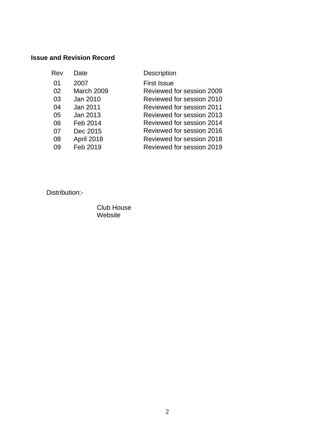# **Issue and Revision Record**

| Date              | <b>Description</b>        |
|-------------------|---------------------------|
| 2007              | <b>First Issue</b>        |
| <b>March 2009</b> | Reviewed for session 2009 |
| Jan 2010          | Reviewed for session 2010 |
| Jan 2011          | Reviewed for session 2011 |
| Jan 2013          | Reviewed for session 2013 |
| Feb 2014          | Reviewed for session 2014 |
| Dec 2015          | Reviewed for session 2016 |
| April 2018        | Reviewed for session 2018 |
| Feb 2019          | Reviewed for session 2019 |
|                   |                           |

Distribution:-

Club House Website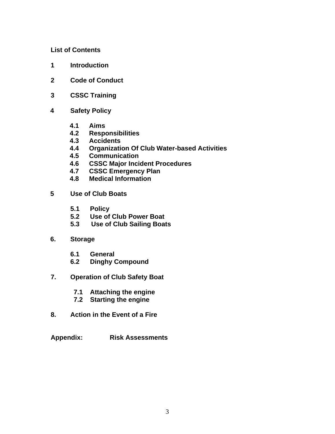#### **List of Contents**

- **1 Introduction**
- **2 Code of Conduct**
- **3 CSSC Training**
- **4 Safety Policy**
	- **4.1 Aims**
	- **4.2 Responsibilities**
	- **4.3 Accidents**
	- **4.4 Organization Of Club Water-based Activities**
	- **4.5 Communication**
	- **4.6 CSSC Major Incident Procedures**
	- **4.7 CSSC Emergency Plan**
	- **4.8 Medical Information**
- **5 Use of Club Boats**
	- **5.1 Policy**
	- **5.2 Use of Club Power Boat**
	- **5.3 Use of Club Sailing Boats**
- **6. Storage**
	- **6.1 General**
	- **6.2 Dinghy Compound**
- **7. Operation of Club Safety Boat**
	- **7.1 Attaching the engine**
	- **7.2 Starting the engine**
- **8. Action in the Event of a Fire**
- **Appendix: Risk Assessments**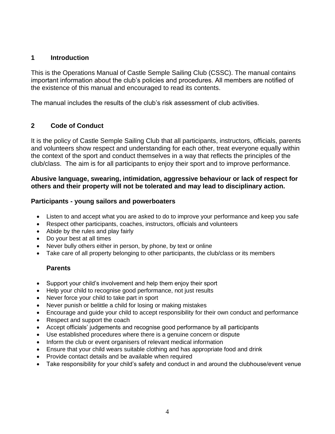## **1 Introduction**

This is the Operations Manual of Castle Semple Sailing Club (CSSC). The manual contains important information about the club's policies and procedures. All members are notified of the existence of this manual and encouraged to read its contents.

The manual includes the results of the club's risk assessment of club activities.

# **2 Code of Conduct**

It is the policy of Castle Semple Sailing Club that all participants, instructors, officials, parents and volunteers show respect and understanding for each other, treat everyone equally within the context of the sport and conduct themselves in a way that reflects the principles of the club/class. The aim is for all participants to enjoy their sport and to improve performance.

# **Abusive language, swearing, intimidation, aggressive behaviour or lack of respect for others and their property will not be tolerated and may lead to disciplinary action.**

#### **Participants - young sailors and powerboaters**

- Listen to and accept what you are asked to do to improve your performance and keep you safe
- Respect other participants, coaches, instructors, officials and volunteers
- Abide by the rules and play fairly
- Do your best at all times
- Never bully others either in person, by phone, by text or online
- Take care of all property belonging to other participants, the club/class or its members

# **Parents**

- Support your child's involvement and help them enjoy their sport
- Help your child to recognise good performance, not just results
- Never force your child to take part in sport
- Never punish or belittle a child for losing or making mistakes
- Encourage and guide your child to accept responsibility for their own conduct and performance
- Respect and support the coach
- Accept officials' judgements and recognise good performance by all participants
- Use established procedures where there is a genuine concern or dispute
- Inform the club or event organisers of relevant medical information
- Ensure that your child wears suitable clothing and has appropriate food and drink
- Provide contact details and be available when required
- Take responsibility for your child's safety and conduct in and around the clubhouse/event venue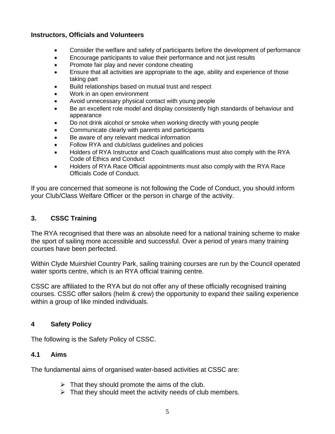## **Instructors, Officials and Volunteers**

- Consider the welfare and safety of participants before the development of performance
- Encourage participants to value their performance and not just results
- Promote fair play and never condone cheating
- Ensure that all activities are appropriate to the age, ability and experience of those taking part
- Build relationships based on mutual trust and respect
- Work in an open environment
- Avoid unnecessary physical contact with young people
- Be an excellent role model and display consistently high standards of behaviour and appearance
- Do not drink alcohol or smoke when working directly with young people
- Communicate clearly with parents and participants
- Be aware of any relevant medical information
- Follow RYA and club/class guidelines and policies
- Holders of RYA Instructor and Coach qualifications must also comply with the RYA Code of Ethics and Conduct
- Holders of RYA Race Official appointments must also comply with the RYA Race Officials Code of Conduct.

If you are concerned that someone is not following the Code of Conduct, you should inform your Club/Class Welfare Officer or the person in charge of the activity.

# **3. CSSC Training**

The RYA recognised that there was an absolute need for a national training scheme to make the sport of sailing more accessible and successful. Over a period of years many training courses have been perfected.

Within Clyde Muirshiel Country Park, sailing training courses are run by the Council operated water sports centre, which is an RYA official training centre.

CSSC are affiliated to the RYA but do not offer any of these officially recognised training courses. CSSC offer sailors (helm & crew) the opportunity to expand their sailing experience within a group of like minded individuals.

#### **4 Safety Policy**

The following is the Safety Policy of CSSC.

#### **4.1 Aims**

The fundamental aims of organised water-based activities at CSSC are:

- $\triangleright$  That they should promote the aims of the club.
- $\triangleright$  That they should meet the activity needs of club members.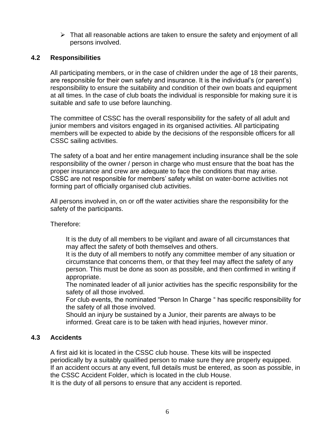➢ That all reasonable actions are taken to ensure the safety and enjoyment of all persons involved.

#### **4.2 Responsibilities**

All participating members, or in the case of children under the age of 18 their parents, are responsible for their own safety and insurance. It is the individual's (or parent's) responsibility to ensure the suitability and condition of their own boats and equipment at all times. In the case of club boats the individual is responsible for making sure it is suitable and safe to use before launching.

The committee of CSSC has the overall responsibility for the safety of all adult and junior members and visitors engaged in its organised activities. All participating members will be expected to abide by the decisions of the responsible officers for all CSSC sailing activities.

The safety of a boat and her entire management including insurance shall be the sole responsibility of the owner / person in charge who must ensure that the boat has the proper insurance and crew are adequate to face the conditions that may arise. CSSC are not responsible for members' safety whilst on water-borne activities not forming part of officially organised club activities.

All persons involved in, on or off the water activities share the responsibility for the safety of the participants.

Therefore:

It is the duty of all members to be vigilant and aware of all circumstances that may affect the safety of both themselves and others.

It is the duty of all members to notify any committee member of any situation or circumstance that concerns them, or that they feel may affect the safety of any person. This must be done as soon as possible, and then confirmed in writing if appropriate.

The nominated leader of all junior activities has the specific responsibility for the safety of all those involved.

For club events, the nominated "Person In Charge " has specific responsibility for the safety of all those involved.

Should an injury be sustained by a Junior, their parents are always to be informed. Great care is to be taken with head injuries, however minor.

# **4.3 Accidents**

A first aid kit is located in the CSSC club house. These kits will be inspected periodically by a suitably qualified person to make sure they are properly equipped. If an accident occurs at any event, full details must be entered, as soon as possible, in the CSSC Accident Folder, which is located in the club House.

It is the duty of all persons to ensure that any accident is reported.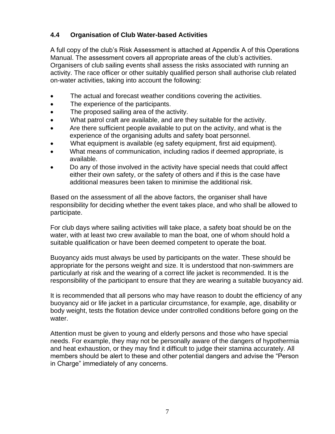# **4.4 Organisation of Club Water-based Activities**

A full copy of the club's Risk Assessment is attached at Appendix A of this Operations Manual. The assessment covers all appropriate areas of the club's activities. Organisers of club sailing events shall assess the risks associated with running an activity. The race officer or other suitably qualified person shall authorise club related on-water activities, taking into account the following:

- The actual and forecast weather conditions covering the activities.
- The experience of the participants.
- The proposed sailing area of the activity.
- What patrol craft are available, and are they suitable for the activity.
- Are there sufficient people available to put on the activity, and what is the experience of the organising adults and safety boat personnel.
- What equipment is available (eg safety equipment, first aid equipment).
- What means of communication, including radios if deemed appropriate, is available.
- Do any of those involved in the activity have special needs that could affect either their own safety, or the safety of others and if this is the case have additional measures been taken to minimise the additional risk.

Based on the assessment of all the above factors, the organiser shall have responsibility for deciding whether the event takes place, and who shall be allowed to participate.

For club days where sailing activities will take place, a safety boat should be on the water, with at least two crew available to man the boat, one of whom should hold a suitable qualification or have been deemed competent to operate the boat.

Buoyancy aids must always be used by participants on the water. These should be appropriate for the persons weight and size. It is understood that non-swimmers are particularly at risk and the wearing of a correct life jacket is recommended. It is the responsibility of the participant to ensure that they are wearing a suitable buoyancy aid.

It is recommended that all persons who may have reason to doubt the efficiency of any buoyancy aid or life jacket in a particular circumstance, for example, age, disability or body weight, tests the flotation device under controlled conditions before going on the water.

Attention must be given to young and elderly persons and those who have special needs. For example, they may not be personally aware of the dangers of hypothermia and heat exhaustion, or they may find it difficult to judge their stamina accurately. All members should be alert to these and other potential dangers and advise the "Person in Charge" immediately of any concerns.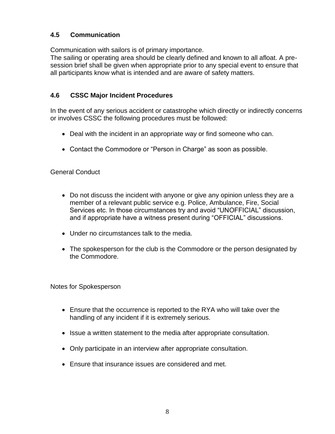# **4.5 Communication**

Communication with sailors is of primary importance.

The sailing or operating area should be clearly defined and known to all afloat. A presession brief shall be given when appropriate prior to any special event to ensure that all participants know what is intended and are aware of safety matters.

# **4.6 CSSC Major Incident Procedures**

In the event of any serious accident or catastrophe which directly or indirectly concerns or involves CSSC the following procedures must be followed:

- Deal with the incident in an appropriate way or find someone who can.
- Contact the Commodore or "Person in Charge" as soon as possible.

# General Conduct

- Do not discuss the incident with anyone or give any opinion unless they are a member of a relevant public service e.g. Police, Ambulance, Fire, Social Services etc. In those circumstances try and avoid "UNOFFICIAL" discussion, and if appropriate have a witness present during "OFFICIAL" discussions.
- Under no circumstances talk to the media.
- The spokesperson for the club is the Commodore or the person designated by the Commodore.

Notes for Spokesperson

- Ensure that the occurrence is reported to the RYA who will take over the handling of any incident if it is extremely serious.
- Issue a written statement to the media after appropriate consultation.
- Only participate in an interview after appropriate consultation.
- Ensure that insurance issues are considered and met.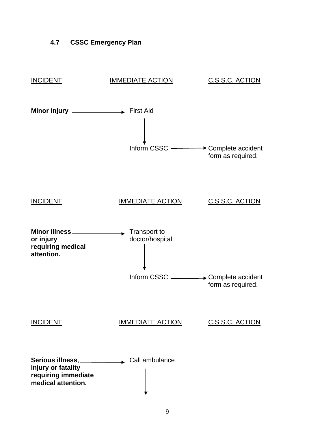# **4.7 CSSC Emergency Plan**

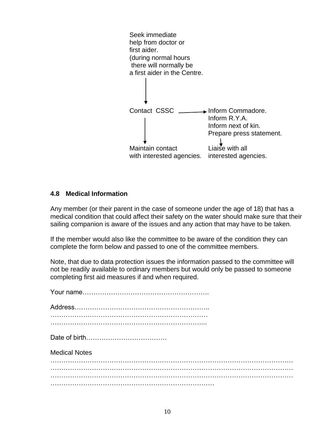

#### **4.8 Medical Information**

Any member (or their parent in the case of someone under the age of 18) that has a medical condition that could affect their safety on the water should make sure that their sailing companion is aware of the issues and any action that may have to be taken.

If the member would also like the committee to be aware of the condition they can complete the form below and passed to one of the committee members.

Note, that due to data protection issues the information passed to the committee will not be readily available to ordinary members but would only be passed to someone completing first aid measures if and when required.

| <b>Medical Notes</b> |
|----------------------|
|                      |
|                      |
|                      |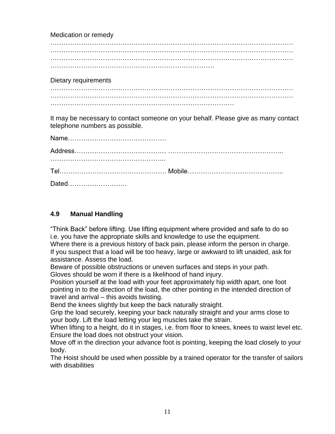Medication or remedy

………………………………………………………………………………………………… ………………………………………………………………………………………………… ………………………………………………………………………………………………… …………………………………………………………………

Dietary requirements

………………………………………………………………………………………………… …………………………………………………………………………

It may be necessary to contact someone on your behalf. Please give as many contact telephone numbers as possible.

| Dated |  |
|-------|--|

# **4.9 Manual Handling**

"Think Back" before lifting. Use lifting equipment where provided and safe to do so i.e. you have the appropriate skills and knowledge to use the equipment.

Where there is a previous history of back pain, please inform the person in charge. If you suspect that a load will be too heavy, large or awkward to lift unaided, ask for assistance. Assess the load.

Beware of possible obstructions or uneven surfaces and steps in your path. Gloves should be worn if there is a likelihood of hand injury.

Position yourself at the load with your feet approximately hip width apart, one foot pointing in to the direction of the load, the other pointing in the intended direction of travel and arrival – this avoids twisting.

Bend the knees slightly but keep the back naturally straight.

Grip the load securely, keeping your back naturally straight and your arms close to your body. Lift the load letting your leg muscles take the strain.

When lifting to a height, do it in stages, i.e. from floor to knees, knees to waist level etc. Ensure the load does not obstruct your vision.

Move off in the direction your advance foot is pointing, keeping the load closely to your body.

The Hoist should be used when possible by a trained operator for the transfer of sailors with disabilities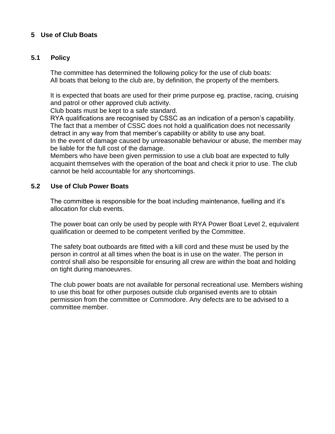# **5 Use of Club Boats**

#### **5.1 Policy**

The committee has determined the following policy for the use of club boats: All boats that belong to the club are, by definition, the property of the members.

It is expected that boats are used for their prime purpose eg. practise, racing, cruising and patrol or other approved club activity.

Club boats must be kept to a safe standard.

RYA qualifications are recognised by CSSC as an indication of a person's capability. The fact that a member of CSSC does not hold a qualification does not necessarily detract in any way from that member's capability or ability to use any boat. In the event of damage caused by unreasonable behaviour or abuse, the member may be liable for the full cost of the damage.

Members who have been given permission to use a club boat are expected to fully acquaint themselves with the operation of the boat and check it prior to use. The club cannot be held accountable for any shortcomings.

#### **5.2 Use of Club Power Boats**

The committee is responsible for the boat including maintenance, fuelling and it's allocation for club events.

The power boat can only be used by people with RYA Power Boat Level 2, equivalent qualification or deemed to be competent verified by the Committee.

The safety boat outboards are fitted with a kill cord and these must be used by the person in control at all times when the boat is in use on the water. The person in control shall also be responsible for ensuring all crew are within the boat and holding on tight during manoeuvres.

The club power boats are not available for personal recreational use. Members wishing to use this boat for other purposes outside club organised events are to obtain permission from the committee or Commodore. Any defects are to be advised to a committee member.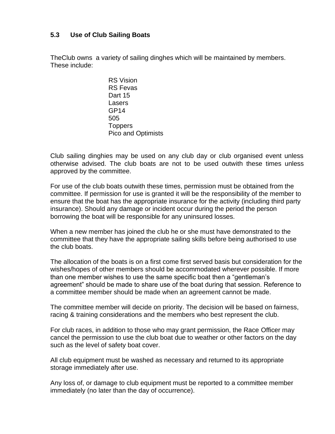# **5.3 Use of Club Sailing Boats**

TheClub owns a variety of sailing dinghes which will be maintained by members. These include:

> RS Vision RS Fevas Dart 15 **Lasers** GP14 505 **Toppers** Pico and Optimists

Club sailing dinghies may be used on any club day or club organised event unless otherwise advised. The club boats are not to be used outwith these times unless approved by the committee.

For use of the club boats outwith these times, permission must be obtained from the committee. If permission for use is granted it will be the responsibility of the member to ensure that the boat has the appropriate insurance for the activity (including third party insurance). Should any damage or incident occur during the period the person borrowing the boat will be responsible for any uninsured losses.

When a new member has joined the club he or she must have demonstrated to the committee that they have the appropriate sailing skills before being authorised to use the club boats.

The allocation of the boats is on a first come first served basis but consideration for the wishes/hopes of other members should be accommodated wherever possible. If more than one member wishes to use the same specific boat then a "gentleman's agreement" should be made to share use of the boat during that session. Reference to a committee member should be made when an agreement cannot be made.

The committee member will decide on priority. The decision will be based on fairness, racing & training considerations and the members who best represent the club.

For club races, in addition to those who may grant permission, the Race Officer may cancel the permission to use the club boat due to weather or other factors on the day such as the level of safety boat cover.

All club equipment must be washed as necessary and returned to its appropriate storage immediately after use.

Any loss of, or damage to club equipment must be reported to a committee member immediately (no later than the day of occurrence).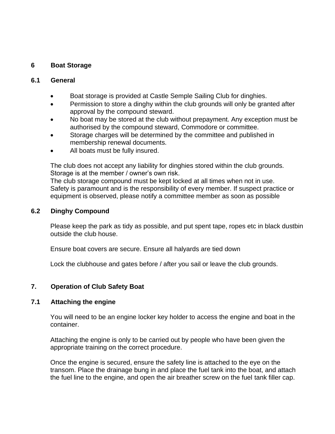# **6 Boat Storage**

#### **6.1 General**

- Boat storage is provided at Castle Semple Sailing Club for dinghies.
- Permission to store a dinghy within the club grounds will only be granted after approval by the compound steward.
- No boat may be stored at the club without prepayment. Any exception must be authorised by the compound steward, Commodore or committee.
- Storage charges will be determined by the committee and published in membership renewal documents.
- All boats must be fully insured.

The club does not accept any liability for dinghies stored within the club grounds. Storage is at the member / owner's own risk.

The club storage compound must be kept locked at all times when not in use. Safety is paramount and is the responsibility of every member. If suspect practice or equipment is observed, please notify a committee member as soon as possible

#### **6.2 Dinghy Compound**

Please keep the park as tidy as possible, and put spent tape, ropes etc in black dustbin outside the club house.

Ensure boat covers are secure. Ensure all halyards are tied down

Lock the clubhouse and gates before / after you sail or leave the club grounds.

#### **7. Operation of Club Safety Boat**

#### **7.1 Attaching the engine**

You will need to be an engine locker key holder to access the engine and boat in the container.

Attaching the engine is only to be carried out by people who have been given the appropriate training on the correct procedure.

Once the engine is secured, ensure the safety line is attached to the eye on the transom. Place the drainage bung in and place the fuel tank into the boat, and attach the fuel line to the engine, and open the air breather screw on the fuel tank filler cap.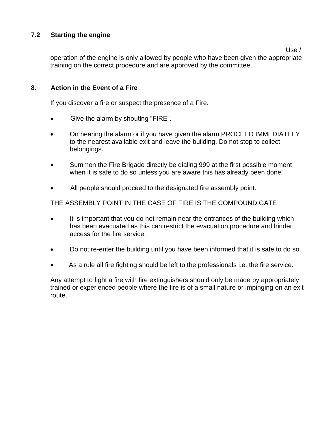# **7.2 Starting the engine**

Use /

operation of the engine is only allowed by people who have been given the appropriate training on the correct procedure and are approved by the committee.

# **8. Action in the Event of a Fire**

If you discover a fire or suspect the presence of a Fire.

- Give the alarm by shouting "FIRE".
- On hearing the alarm or if you have given the alarm PROCEED IMMEDIATELY to the nearest available exit and leave the building. Do not stop to collect belongings.
- Summon the Fire Brigade directly be dialing 999 at the first possible moment when it is safe to do so unless you are aware this has already been done.
- All people should proceed to the designated fire assembly point.

THE ASSEMBLY POINT IN THE CASE OF FIRE IS THE COMPOUND GATE

- It is important that you do not remain near the entrances of the building which has been evacuated as this can restrict the evacuation procedure and hinder access for the fire service.
- Do not re-enter the building until you have been informed that it is safe to do so.
- As a rule all fire fighting should be left to the professionals i.e. the fire service.

Any attempt to fight a fire with fire extinguishers should only be made by appropriately trained or experienced people where the fire is of a small nature or impinging on an exit route.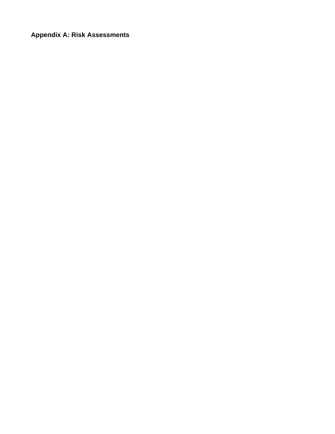**Appendix A: Risk Assessments**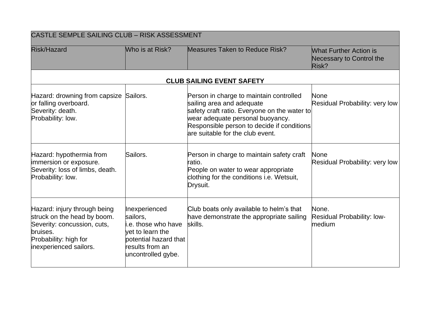| CASTLE SEMPLE SAILING CLUB - RISK ASSESSMENT                                                                                                              |                                                                                                                                        |                                                                                                                                                                                                                                            |                                                                    |
|-----------------------------------------------------------------------------------------------------------------------------------------------------------|----------------------------------------------------------------------------------------------------------------------------------------|--------------------------------------------------------------------------------------------------------------------------------------------------------------------------------------------------------------------------------------------|--------------------------------------------------------------------|
| <b>Risk/Hazard</b>                                                                                                                                        | Who is at Risk?                                                                                                                        | <b>Measures Taken to Reduce Risk?</b>                                                                                                                                                                                                      | <b>What Further Action is</b><br>Necessary to Control the<br>Risk? |
|                                                                                                                                                           |                                                                                                                                        | <b>CLUB SAILING EVENT SAFETY</b>                                                                                                                                                                                                           |                                                                    |
| Hazard: drowning from capsize Sailors.<br>or falling overboard.<br>Severity: death.<br>Probability: low.                                                  |                                                                                                                                        | Person in charge to maintain controlled<br>sailing area and adequate<br>safety craft ratio. Everyone on the water to<br>wear adequate personal buoyancy.<br>Responsible person to decide if conditions<br>are suitable for the club event. | None<br>Residual Probability: very low                             |
| Hazard: hypothermia from<br>immersion or exposure.<br>Severity: loss of limbs, death.<br>Probability: low.                                                | Sailors.                                                                                                                               | Person in charge to maintain safety craft<br>ratio.<br>People on water to wear appropriate<br>clothing for the conditions i.e. Wetsuit,<br>Drysuit.                                                                                        | None<br>Residual Probability: very low                             |
| Hazard: injury through being<br>struck on the head by boom.<br>Severity: concussion, cuts,<br>bruises.<br>Probability: high for<br>inexperienced sailors. | Inexperienced<br>sailors,<br>i.e. those who have<br>yet to learn the<br>potential hazard that<br>results from an<br>uncontrolled gybe. | Club boats only available to helm's that<br>have demonstrate the appropriate sailing<br>skills.                                                                                                                                            | None.<br>Residual Probability: low-<br>medium                      |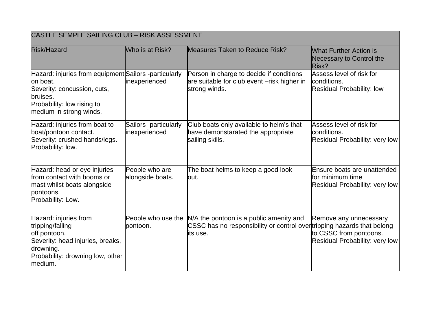| CASTLE SEMPLE SAILING CLUB - RISK ASSESSMENT                                                                                                                           |                                        |                                                                                                                                 |                                                                                    |
|------------------------------------------------------------------------------------------------------------------------------------------------------------------------|----------------------------------------|---------------------------------------------------------------------------------------------------------------------------------|------------------------------------------------------------------------------------|
| <b>Risk/Hazard</b>                                                                                                                                                     | Who is at Risk?                        | <b>Measures Taken to Reduce Risk?</b>                                                                                           | <b>What Further Action is</b><br>Necessary to Control the<br>Risk?                 |
| Hazard: injuries from equipment Sailors -particularly<br>lon boat.<br>Severity: concussion, cuts,<br>bruises.<br>Probability: low rising to<br>medium in strong winds. | inexperienced                          | Person in charge to decide if conditions<br>are suitable for club event -risk higher in<br>strong winds.                        | Assess level of risk for<br>conditions.<br><b>Residual Probability: low</b>        |
| Hazard: injuries from boat to<br>boat/pontoon contact.<br>Severity: crushed hands/legs.<br>Probability: low.                                                           | Sailors -particularly<br>inexperienced | Club boats only available to helm's that<br>have demonstarated the appropriate<br>sailing skills.                               | Assess level of risk for<br>conditions.<br>Residual Probability: very low          |
| Hazard: head or eye injuries<br>from contact with booms or<br>mast whilst boats alongside<br>pontoons.<br>Probability: Low.                                            | People who are<br>alongside boats.     | The boat helms to keep a good look<br>lout.                                                                                     | Ensure boats are unattended<br>for minimum time<br>Residual Probability: very low  |
| Hazard: injuries from<br>tripping/falling<br>off pontoon.<br>Severity: head injuries, breaks,<br>drowning.<br>Probability: drowning low, other<br>medium.              | People who use the<br>pontoon.         | N/A the pontoon is a public amenity and<br>CSSC has no responsibility or control over tripping hazards that belong<br>lits use. | Remove any unnecessary<br>to CSSC from pontoons.<br>Residual Probability: very low |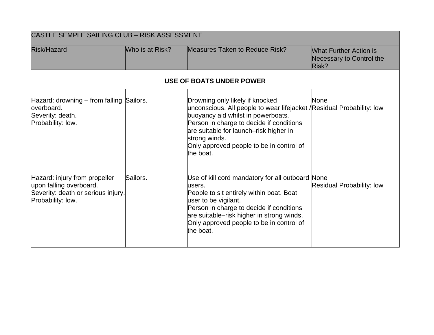| CASTLE SEMPLE SAILING CLUB - RISK ASSESSMENT                                                                        |                 |                                                                                                                                                                                                                                                                                                                 |                                                                    |
|---------------------------------------------------------------------------------------------------------------------|-----------------|-----------------------------------------------------------------------------------------------------------------------------------------------------------------------------------------------------------------------------------------------------------------------------------------------------------------|--------------------------------------------------------------------|
| <b>Risk/Hazard</b>                                                                                                  | Who is at Risk? | Measures Taken to Reduce Risk?                                                                                                                                                                                                                                                                                  | <b>What Further Action is</b><br>Necessary to Control the<br>Risk? |
|                                                                                                                     |                 | <b>USE OF BOATS UNDER POWER</b>                                                                                                                                                                                                                                                                                 |                                                                    |
| Hazard: drowning – from falling Sailors.<br>overboard.<br>Severity: death.<br>Probability: low.                     |                 | Drowning only likely if knocked<br>unconscious. All people to wear lifejacket / Residual Probability: low<br>buoyancy aid whilst in powerboats.<br>Person in charge to decide if conditions<br>are suitable for launch-risk higher in<br>strong winds.<br>Only approved people to be in control of<br>the boat. | <b>None</b>                                                        |
| Hazard: injury from propeller<br>upon falling overboard.<br>Severity: death or serious injury.<br>Probability: low. | Sailors.        | Use of kill cord mandatory for all outboard None<br>lusers.<br>People to sit entirely within boat. Boat<br>user to be vigilant.<br>Person in charge to decide if conditions<br>are suitable-risk higher in strong winds.<br>Only approved people to be in control of<br>the boat.                               | <b>Residual Probability: low</b>                                   |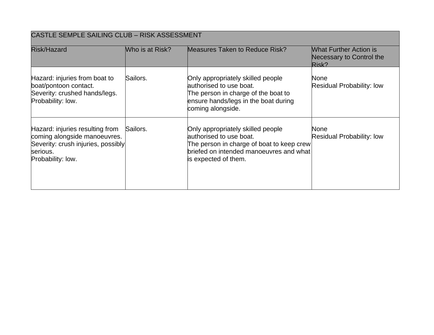| <b>CASTLE SEMPLE SAILING CLUB - RISK ASSESSMENT</b>                                                                                    |                 |                                                                                                                                                                              |                                                                    |
|----------------------------------------------------------------------------------------------------------------------------------------|-----------------|------------------------------------------------------------------------------------------------------------------------------------------------------------------------------|--------------------------------------------------------------------|
| Risk/Hazard                                                                                                                            | Who is at Risk? | <b>Measures Taken to Reduce Risk?</b>                                                                                                                                        | <b>What Further Action is</b><br>Necessary to Control the<br>Risk? |
| Hazard: injuries from boat to<br>boat/pontoon contact.<br>Severity: crushed hands/legs.<br>Probability: low.                           | Sailors.        | Only appropriately skilled people<br>authorised to use boat.<br>The person in charge of the boat to<br>ensure hands/legs in the boat during<br>coming alongside.             | None<br><b>Residual Probability: low</b>                           |
| Hazard: injuries resulting from<br>coming alongside manoeuvres.<br>Severity: crush injuries, possibly<br>serious.<br>Probability: low. | Sailors.        | Only appropriately skilled people<br>authorised to use boat.<br>The person in charge of boat to keep crew<br>briefed on intended manoeuvres and what<br>is expected of them. | None<br><b>Residual Probability: low</b>                           |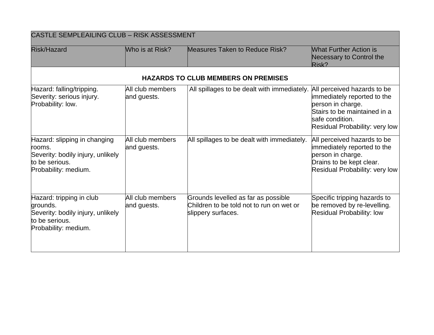| <b>CASTLE SEMPLEAILING CLUB - RISK ASSESSMENT</b>                                                                     |                                 |                                                                                                       |                                                                                                                                                                      |
|-----------------------------------------------------------------------------------------------------------------------|---------------------------------|-------------------------------------------------------------------------------------------------------|----------------------------------------------------------------------------------------------------------------------------------------------------------------------|
| <b>Risk/Hazard</b>                                                                                                    | Who is at Risk?                 | <b>Measures Taken to Reduce Risk?</b>                                                                 | <b>What Further Action is</b><br>Necessary to Control the<br>Risk?                                                                                                   |
|                                                                                                                       |                                 | <b>HAZARDS TO CLUB MEMBERS ON PREMISES</b>                                                            |                                                                                                                                                                      |
| Hazard: falling/tripping.<br>Severity: serious injury.<br>Probability: low.                                           | All club members<br>and guests. | All spillages to be dealt with immediately.                                                           | All perceived hazards to be<br>immediately reported to the<br>person in charge.<br>Stairs to be maintained in a<br>safe condition.<br>Residual Probability: very low |
| Hazard: slipping in changing<br>rooms.<br>Severity: bodily injury, unlikely<br>to be serious.<br>Probability: medium. | All club members<br>and guests. | All spillages to be dealt with immediately.                                                           | All perceived hazards to be<br>immediately reported to the<br>person in charge.<br>Drains to be kept clear.<br>Residual Probability: very low                        |
| Hazard: tripping in club<br>grounds.<br>Severity: bodily injury, unlikely<br>to be serious.<br>Probability: medium.   | All club members<br>and guests. | Grounds levelled as far as possible<br>Children to be told not to run on wet or<br>slippery surfaces. | Specific tripping hazards to<br>be removed by re-levelling.<br><b>Residual Probability: low</b>                                                                      |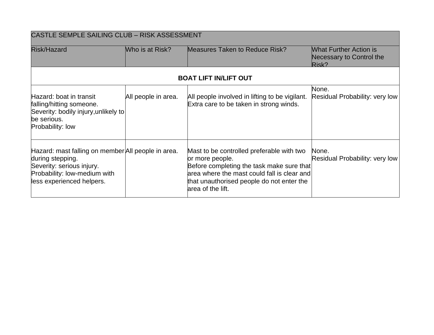| CASTLE SEMPLE SAILING CLUB - RISK ASSESSMENT                                                                                                                     |                     |                                                                                                                                                                                                                            |                                                                    |
|------------------------------------------------------------------------------------------------------------------------------------------------------------------|---------------------|----------------------------------------------------------------------------------------------------------------------------------------------------------------------------------------------------------------------------|--------------------------------------------------------------------|
| Risk/Hazard                                                                                                                                                      | Who is at Risk?     | <b>Measures Taken to Reduce Risk?</b>                                                                                                                                                                                      | <b>What Further Action is</b><br>Necessary to Control the<br>Risk? |
|                                                                                                                                                                  |                     | <b>BOAT LIFT IN/LIFT OUT</b>                                                                                                                                                                                               |                                                                    |
| Hazard: boat in transit<br>falling/hitting someone.<br>Severity: bodily injury, unlikely to<br>be serious.<br>Probability: low                                   | All people in area. | All people involved in lifting to be vigilant.<br>Extra care to be taken in strong winds.                                                                                                                                  | None.<br>Residual Probability: very low                            |
| Hazard: mast falling on member All people in area.<br>during stepping.<br>Severity: serious injury.<br>Probability: low-medium with<br>less experienced helpers. |                     | Mast to be controlled preferable with two<br>or more people.<br>Before completing the task make sure that<br>area where the mast could fall is clear and<br>that unauthorised people do not enter the<br>area of the lift. | None.<br>Residual Probability: very low                            |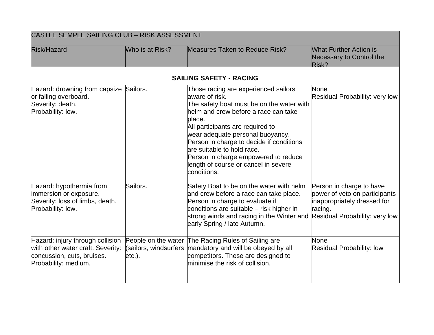| <b>CASTLE SEMPLE SAILING CLUB - RISK ASSESSMENT</b>                                                                         |                 |                                                                                                                                                                                                                                                                                                                                                                                                        |                                                                                                                                       |
|-----------------------------------------------------------------------------------------------------------------------------|-----------------|--------------------------------------------------------------------------------------------------------------------------------------------------------------------------------------------------------------------------------------------------------------------------------------------------------------------------------------------------------------------------------------------------------|---------------------------------------------------------------------------------------------------------------------------------------|
| <b>Risk/Hazard</b>                                                                                                          | Who is at Risk? | <b>Measures Taken to Reduce Risk?</b>                                                                                                                                                                                                                                                                                                                                                                  | <b>What Further Action is</b><br>Necessary to Control the<br>Risk?                                                                    |
|                                                                                                                             |                 | <b>SAILING SAFETY - RACING</b>                                                                                                                                                                                                                                                                                                                                                                         |                                                                                                                                       |
| Hazard: drowning from capsize Sailors.<br>or falling overboard.<br>Severity: death.<br>Probability: low.                    |                 | Those racing are experienced sailors<br>aware of risk.<br>The safety boat must be on the water with<br>helm and crew before a race can take<br>place.<br>All participants are required to<br>wear adequate personal buoyancy.<br>Person in charge to decide if conditions<br>are suitable to hold race.<br>Person in charge empowered to reduce<br>length of course or cancel in severe<br>conditions. | None<br>Residual Probability: very low                                                                                                |
| Hazard: hypothermia from<br>immersion or exposure.<br>Severity: loss of limbs, death.<br>Probability: low.                  | Sailors.        | Safety Boat to be on the water with helm<br>and crew before a race can take place.<br>Person in charge to evaluate if<br>conditions are suitable – risk higher in<br>strong winds and racing in the Winter and<br>early Spring / late Autumn.                                                                                                                                                          | Person in charge to have<br>power of veto on participants<br>inappropriately dressed for<br>racing.<br>Residual Probability: very low |
| Hazard: injury through collision<br>with other water craft. Severity:<br>concussion, cuts, bruises.<br>Probability: medium. | $etc.$ ).       | People on the water The Racing Rules of Sailing are<br>(sailors, windsurfers mandatory and will be obeyed by all<br>competitors. These are designed to<br>minimise the risk of collision.                                                                                                                                                                                                              | <b>None</b><br><b>Residual Probability: low</b>                                                                                       |